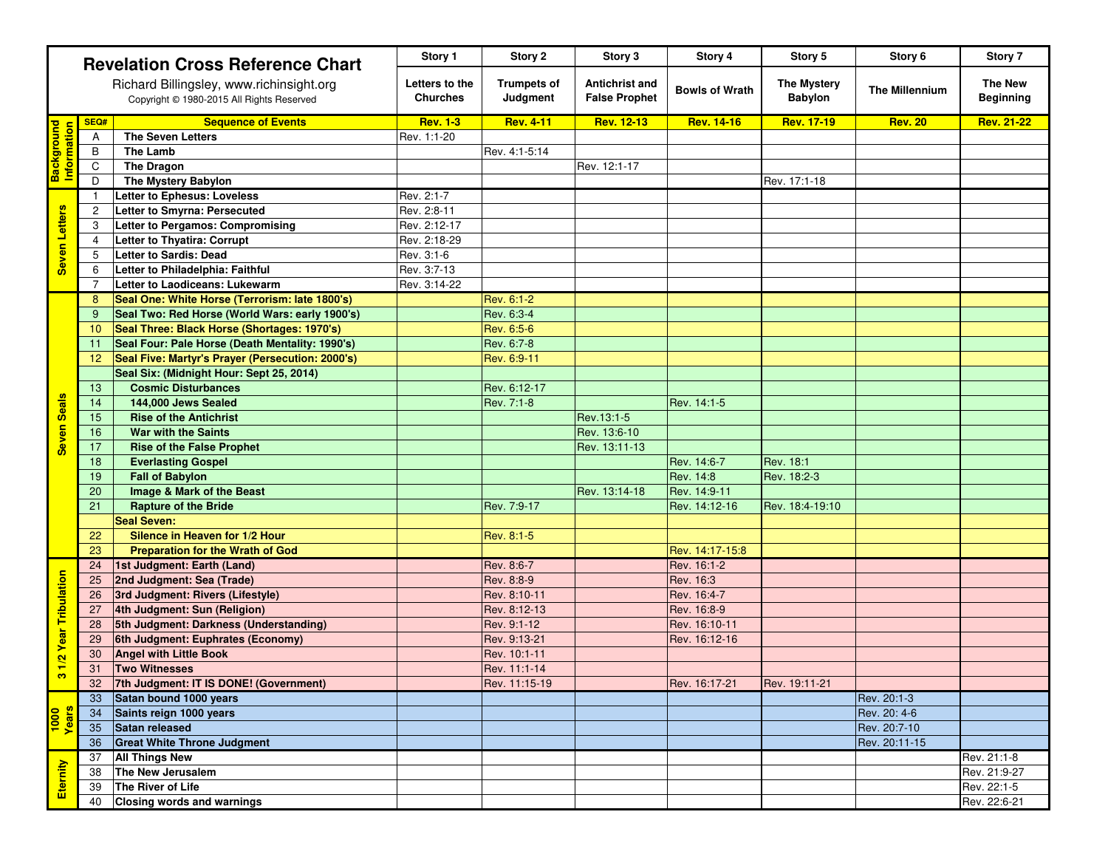|                                                                                         | <b>Revelation Cross Reference Chart</b> |                                                  | Story 1                        | Story 2                                       | Story 3               | Story 4                              | Story 5               | Story 6                            | Story 7           |
|-----------------------------------------------------------------------------------------|-----------------------------------------|--------------------------------------------------|--------------------------------|-----------------------------------------------|-----------------------|--------------------------------------|-----------------------|------------------------------------|-------------------|
| Richard Billingsley, www.richinsight.org<br>Copyright © 1980-2015 All Rights Reserved   |                                         | Letters to the<br><b>Churches</b>                | <b>Trumpets of</b><br>Judgment | <b>Antichrist and</b><br><b>False Prophet</b> | <b>Bowls of Wrath</b> | <b>The Mystery</b><br><b>Babylon</b> | <b>The Millennium</b> | <b>The New</b><br><b>Beginning</b> |                   |
|                                                                                         | SEQ#                                    | <b>Sequence of Events</b>                        | <b>Rev. 1-3</b>                | <b>Rev. 4-11</b>                              | <b>Rev. 12-13</b>     | <b>Rev. 14-16</b>                    | <b>Rev. 17-19</b>     | <b>Rev. 20</b>                     | <b>Rev. 21-22</b> |
| <b>Background</b><br>Information                                                        | A                                       | <b>The Seven Letters</b>                         | Rev. 1:1-20                    |                                               |                       |                                      |                       |                                    |                   |
|                                                                                         | $\mathsf B$                             | <b>The Lamb</b>                                  |                                | Rev. 4:1-5:14                                 |                       |                                      |                       |                                    |                   |
|                                                                                         | $\mathsf{C}$                            | <b>The Dragon</b>                                |                                |                                               | Rev. 12:1-17          |                                      |                       |                                    |                   |
|                                                                                         | D                                       | The Mystery Babylon                              |                                |                                               |                       |                                      | Rev. 17:1-18          |                                    |                   |
| Seven Letters                                                                           |                                         | <b>Letter to Ephesus: Loveless</b>               | Rev. 2:1-7                     |                                               |                       |                                      |                       |                                    |                   |
|                                                                                         | $\mathbf{2}$                            | <b>Letter to Smyrna: Persecuted</b>              | Rev. 2:8-11                    |                                               |                       |                                      |                       |                                    |                   |
|                                                                                         | 3                                       | Letter to Pergamos: Compromising                 | Rev. 2:12-17                   |                                               |                       |                                      |                       |                                    |                   |
|                                                                                         | $\overline{4}$                          | Letter to Thyatira: Corrupt                      | Rev. 2:18-29                   |                                               |                       |                                      |                       |                                    |                   |
|                                                                                         | 5                                       | <b>Letter to Sardis: Dead</b>                    | Rev. 3:1-6                     |                                               |                       |                                      |                       |                                    |                   |
|                                                                                         | 6                                       | Letter to Philadelphia: Faithful                 | Rev. 3:7-13                    |                                               |                       |                                      |                       |                                    |                   |
|                                                                                         | 7                                       | Letter to Laodiceans: Lukewarm                   | Rev. 3:14-22                   |                                               |                       |                                      |                       |                                    |                   |
| <b>Seals</b><br><b>Seven</b>                                                            | 8                                       | Seal One: White Horse (Terrorism: late 1800's)   |                                | Rev. 6:1-2                                    |                       |                                      |                       |                                    |                   |
|                                                                                         | 9                                       | Seal Two: Red Horse (World Wars: early 1900's)   |                                | Rev. 6:3-4                                    |                       |                                      |                       |                                    |                   |
|                                                                                         | 10                                      | Seal Three: Black Horse (Shortages: 1970's)      |                                | Rev. 6:5-6                                    |                       |                                      |                       |                                    |                   |
|                                                                                         | 11                                      | Seal Four: Pale Horse (Death Mentality: 1990's)  |                                | Rev. 6:7-8                                    |                       |                                      |                       |                                    |                   |
|                                                                                         | 12                                      | Seal Five: Martyr's Prayer (Persecution: 2000's) |                                | Rev. 6:9-11                                   |                       |                                      |                       |                                    |                   |
|                                                                                         |                                         | Seal Six: (Midnight Hour: Sept 25, 2014)         |                                |                                               |                       |                                      |                       |                                    |                   |
|                                                                                         | 13                                      | <b>Cosmic Disturbances</b>                       |                                | Rev. 6:12-17                                  |                       |                                      |                       |                                    |                   |
|                                                                                         | 14                                      | 144,000 Jews Sealed                              |                                | Rev. 7:1-8                                    |                       | Rev. 14:1-5                          |                       |                                    |                   |
|                                                                                         | 15                                      | <b>Rise of the Antichrist</b>                    |                                |                                               | Rev.13:1-5            |                                      |                       |                                    |                   |
|                                                                                         | 16                                      | <b>War with the Saints</b>                       |                                |                                               | Rev. 13:6-10          |                                      |                       |                                    |                   |
|                                                                                         | 17                                      | <b>Rise of the False Prophet</b>                 |                                |                                               | Rev. 13:11-13         |                                      |                       |                                    |                   |
|                                                                                         | 18                                      | <b>Everlasting Gospel</b>                        |                                |                                               |                       | Rev. 14:6-7                          | <b>Rev. 18:1</b>      |                                    |                   |
|                                                                                         | 19                                      | <b>Fall of Babylon</b>                           |                                |                                               |                       | Rev. 14:8                            | Rev. 18:2-3           |                                    |                   |
|                                                                                         | 20                                      | <b>Image &amp; Mark of the Beast</b>             |                                |                                               | Rev. 13:14-18         | Rev. 14:9-11                         |                       |                                    |                   |
|                                                                                         | 21                                      | <b>Rapture of the Bride</b>                      |                                | Rev. 7:9-17                                   |                       | Rev. 14:12-16                        | Rev. 18:4-19:10       |                                    |                   |
|                                                                                         |                                         | <b>Seal Seven:</b>                               |                                |                                               |                       |                                      |                       |                                    |                   |
|                                                                                         | 22                                      | Silence in Heaven for 1/2 Hour                   |                                | Rev. 8:1-5                                    |                       |                                      |                       |                                    |                   |
|                                                                                         | 23                                      | <b>Preparation for the Wrath of God</b>          |                                |                                               |                       | Rev. 14:17-15:8                      |                       |                                    |                   |
|                                                                                         | 24                                      | 1st Judgment: Earth (Land)                       |                                | Rev. 8:6-7                                    |                       | Rev. 16:1-2                          |                       |                                    |                   |
|                                                                                         | 25                                      | 2nd Judgment: Sea (Trade)                        |                                | Rev. 8:8-9                                    |                       | Rev. 16:3                            |                       |                                    |                   |
| <b>Year Tribulation</b><br>$\frac{1}{2}$<br>က<br><mark>ooor</mark><br><mark>ooor</mark> | 26                                      | 3rd Judgment: Rivers (Lifestyle)                 |                                | Rev. 8:10-11                                  |                       | Rev. 16:4-7                          |                       |                                    |                   |
|                                                                                         | 27                                      | 4th Judgment: Sun (Religion)                     |                                | Rev. 8:12-13                                  |                       | Rev. 16:8-9                          |                       |                                    |                   |
|                                                                                         | 28                                      | 5th Judgment: Darkness (Understanding)           |                                | Rev. 9:1-12                                   |                       | Rev. 16:10-11                        |                       |                                    |                   |
|                                                                                         | 29                                      | 6th Judgment: Euphrates (Economy)                |                                | Rev. 9:13-21                                  |                       | Rev. 16:12-16                        |                       |                                    |                   |
|                                                                                         | 30                                      | <b>Angel with Little Book</b>                    |                                | Rev. 10:1-11                                  |                       |                                      |                       |                                    |                   |
|                                                                                         | 31                                      | <b>Two Witnesses</b>                             |                                | Rev. 11:1-14                                  |                       |                                      |                       |                                    |                   |
|                                                                                         | 32                                      | 7th Judgment: IT IS DONE! (Government)           |                                | Rev. 11:15-19                                 |                       | Rev. 16:17-21                        | Rev. 19:11-21         |                                    |                   |
|                                                                                         | 33                                      | Satan bound 1000 years                           |                                |                                               |                       |                                      |                       | Rev. 20:1-3                        |                   |
|                                                                                         | 34                                      | Saints reign 1000 years                          |                                |                                               |                       |                                      |                       | Rev. 20: 4-6                       |                   |
|                                                                                         | 35                                      | Satan released                                   |                                |                                               |                       |                                      |                       | Rev. 20:7-10                       |                   |
|                                                                                         | 36                                      | <b>Great White Throne Judgment</b>               |                                |                                               |                       |                                      |                       | Rev. 20:11-15                      |                   |
| Eternity                                                                                | 37                                      | <b>All Things New</b>                            |                                |                                               |                       |                                      |                       |                                    | Rev. 21:1-8       |
|                                                                                         | 38                                      | The New Jerusalem                                |                                |                                               |                       |                                      |                       |                                    | Rev. 21:9-27      |
|                                                                                         | 39                                      | The River of Life                                |                                |                                               |                       |                                      |                       |                                    | Rev. 22:1-5       |
|                                                                                         | 40                                      | <b>Closing words and warnings</b>                |                                |                                               |                       |                                      |                       |                                    | Rev. 22:6-21      |